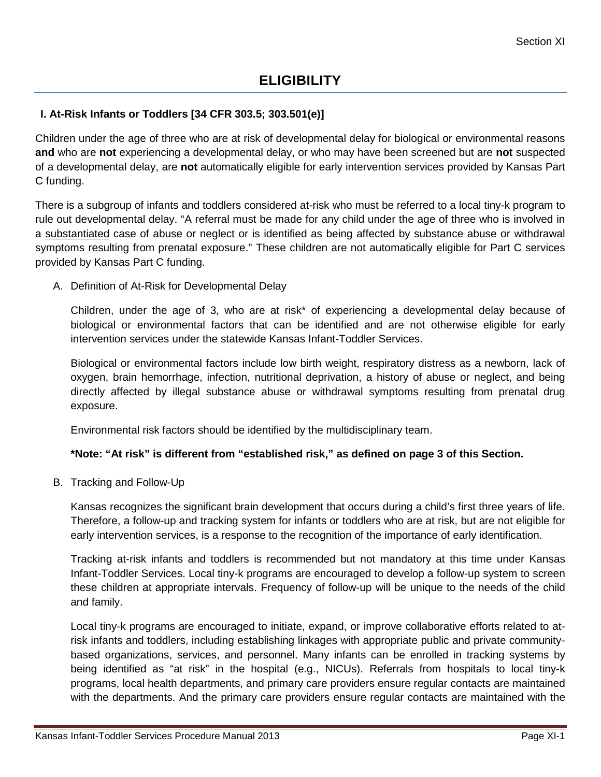## **I. At-Risk Infants or Toddlers [34 CFR 303.5; 303.501(e)]**

Children under the age of three who are at risk of developmental delay for biological or environmental reasons **and** who are **not** experiencing a developmental delay, or who may have been screened but are **not** suspected of a developmental delay, are **not** automatically eligible for early intervention services provided by Kansas Part C funding.

There is a subgroup of infants and toddlers considered at-risk who must be referred to a local tiny-k program to rule out developmental delay. "A referral must be made for any child under the age of three who is involved in a substantiated case of abuse or neglect or is identified as being affected by substance abuse or withdrawal symptoms resulting from prenatal exposure." These children are not automatically eligible for Part C services provided by Kansas Part C funding.

A. Definition of At-Risk for Developmental Delay

Children, under the age of 3, who are at risk\* of experiencing a developmental delay because of biological or environmental factors that can be identified and are not otherwise eligible for early intervention services under the statewide Kansas Infant-Toddler Services.

Biological or environmental factors include low birth weight, respiratory distress as a newborn, lack of oxygen, brain hemorrhage, infection, nutritional deprivation, a history of abuse or neglect, and being directly affected by illegal substance abuse or withdrawal symptoms resulting from prenatal drug exposure.

Environmental risk factors should be identified by the multidisciplinary team.

### **\*Note: "At risk" is different from "established risk," as defined on page 3 of this Section.**

B. Tracking and Follow-Up

Kansas recognizes the significant brain development that occurs during a child's first three years of life. Therefore, a follow-up and tracking system for infants or toddlers who are at risk, but are not eligible for early intervention services, is a response to the recognition of the importance of early identification.

Tracking at-risk infants and toddlers is recommended but not mandatory at this time under Kansas Infant-Toddler Services. Local tiny-k programs are encouraged to develop a follow-up system to screen these children at appropriate intervals. Frequency of follow-up will be unique to the needs of the child and family.

Local tiny-k programs are encouraged to initiate, expand, or improve collaborative efforts related to atrisk infants and toddlers, including establishing linkages with appropriate public and private communitybased organizations, services, and personnel. Many infants can be enrolled in tracking systems by being identified as "at risk" in the hospital (e.g., NICUs). Referrals from hospitals to local tiny-k programs, local health departments, and primary care providers ensure regular contacts are maintained with the departments. And the primary care providers ensure regular contacts are maintained with the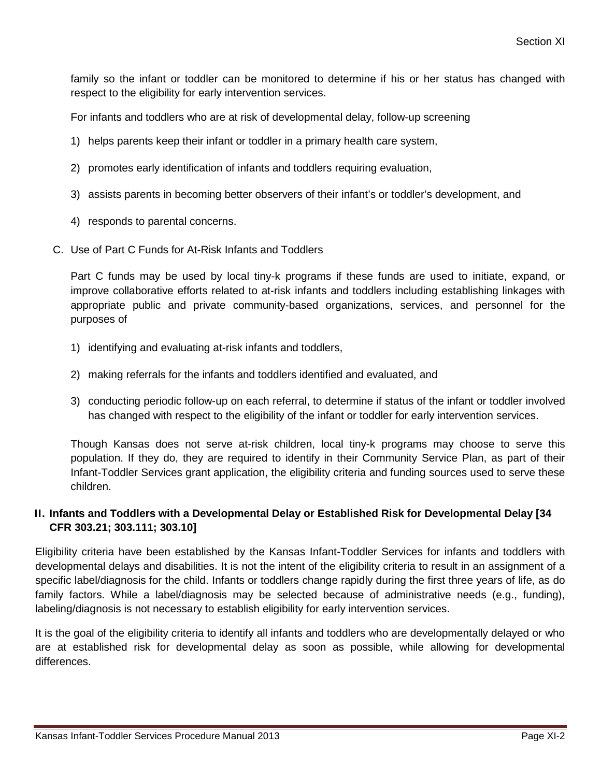family so the infant or toddler can be monitored to determine if his or her status has changed with respect to the eligibility for early intervention services.

For infants and toddlers who are at risk of developmental delay, follow-up screening

- 1) helps parents keep their infant or toddler in a primary health care system,
- 2) promotes early identification of infants and toddlers requiring evaluation,
- 3) assists parents in becoming better observers of their infant's or toddler's development, and
- 4) responds to parental concerns.
- C. Use of Part C Funds for At-Risk Infants and Toddlers

Part C funds may be used by local tiny-k programs if these funds are used to initiate, expand, or improve collaborative efforts related to at-risk infants and toddlers including establishing linkages with appropriate public and private community-based organizations, services, and personnel for the purposes of

- 1) identifying and evaluating at-risk infants and toddlers,
- 2) making referrals for the infants and toddlers identified and evaluated, and
- 3) conducting periodic follow-up on each referral, to determine if status of the infant or toddler involved has changed with respect to the eligibility of the infant or toddler for early intervention services.

Though Kansas does not serve at-risk children, local tiny-k programs may choose to serve this population. If they do, they are required to identify in their Community Service Plan, as part of their Infant-Toddler Services grant application, the eligibility criteria and funding sources used to serve these children.

### **II. Infants and Toddlers with a Developmental Delay or Established Risk for Developmental Delay [34 CFR 303.21; 303.111; 303.10]**

Eligibility criteria have been established by the Kansas Infant-Toddler Services for infants and toddlers with developmental delays and disabilities. It is not the intent of the eligibility criteria to result in an assignment of a specific label/diagnosis for the child. Infants or toddlers change rapidly during the first three years of life, as do family factors. While a label/diagnosis may be selected because of administrative needs (e.g., funding), labeling/diagnosis is not necessary to establish eligibility for early intervention services.

It is the goal of the eligibility criteria to identify all infants and toddlers who are developmentally delayed or who are at established risk for developmental delay as soon as possible, while allowing for developmental differences.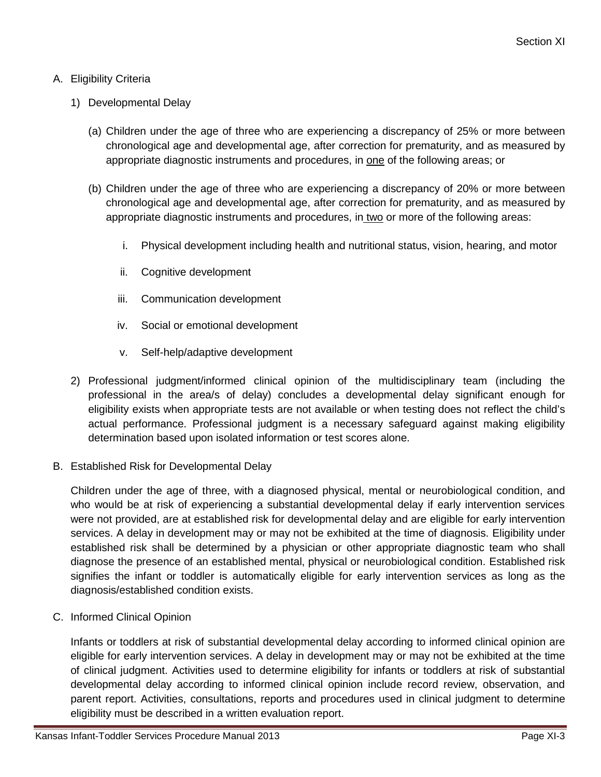### A. Eligibility Criteria

- 1) Developmental Delay
	- (a) Children under the age of three who are experiencing a discrepancy of 25% or more between chronological age and developmental age, after correction for prematurity, and as measured by appropriate diagnostic instruments and procedures, in one of the following areas; or
	- (b) Children under the age of three who are experiencing a discrepancy of 20% or more between chronological age and developmental age, after correction for prematurity, and as measured by appropriate diagnostic instruments and procedures, in two or more of the following areas:
		- i. Physical development including health and nutritional status, vision, hearing, and motor
		- ii. Cognitive development
		- iii. Communication development
		- iv. Social or emotional development
		- v. Self-help/adaptive development
- 2) Professional judgment/informed clinical opinion of the multidisciplinary team (including the professional in the area/s of delay) concludes a developmental delay significant enough for eligibility exists when appropriate tests are not available or when testing does not reflect the child's actual performance. Professional judgment is a necessary safeguard against making eligibility determination based upon isolated information or test scores alone.
- B. Established Risk for Developmental Delay

Children under the age of three, with a diagnosed physical, mental or neurobiological condition, and who would be at risk of experiencing a substantial developmental delay if early intervention services were not provided, are at established risk for developmental delay and are eligible for early intervention services. A delay in development may or may not be exhibited at the time of diagnosis. Eligibility under established risk shall be determined by a physician or other appropriate diagnostic team who shall diagnose the presence of an established mental, physical or neurobiological condition. Established risk signifies the infant or toddler is automatically eligible for early intervention services as long as the diagnosis/established condition exists.

C. Informed Clinical Opinion

Infants or toddlers at risk of substantial developmental delay according to informed clinical opinion are eligible for early intervention services. A delay in development may or may not be exhibited at the time of clinical judgment. Activities used to determine eligibility for infants or toddlers at risk of substantial developmental delay according to informed clinical opinion include record review, observation, and parent report. Activities, consultations, reports and procedures used in clinical judgment to determine eligibility must be described in a written evaluation report.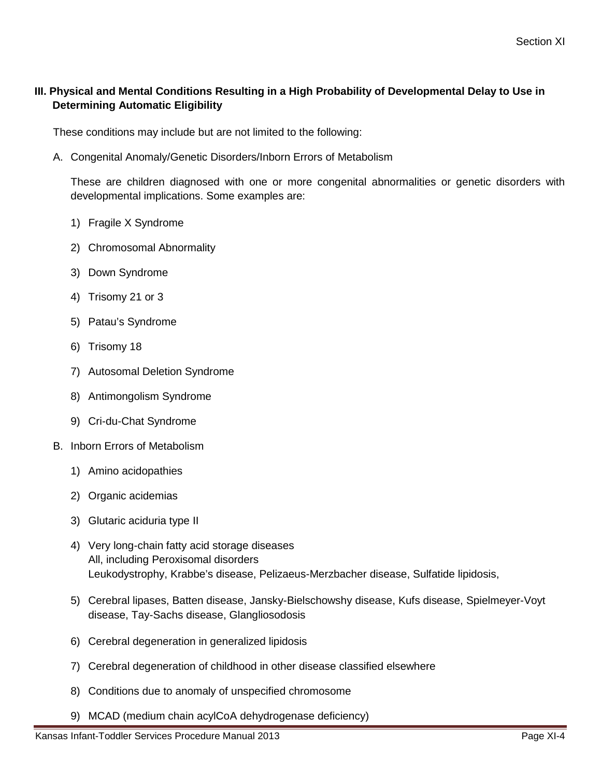# **III. Physical and Mental Conditions Resulting in a High Probability of Developmental Delay to Use in Determining Automatic Eligibility**

These conditions may include but are not limited to the following:

A. Congenital Anomaly/Genetic Disorders/Inborn Errors of Metabolism

These are children diagnosed with one or more congenital abnormalities or genetic disorders with developmental implications. Some examples are:

- 1) Fragile X Syndrome
- 2) Chromosomal Abnormality
- 3) Down Syndrome
- 4) Trisomy 21 or 3
- 5) Patau's Syndrome
- 6) Trisomy 18
- 7) Autosomal Deletion Syndrome
- 8) Antimongolism Syndrome
- 9) Cri-du-Chat Syndrome
- B. Inborn Errors of Metabolism
	- 1) Amino acidopathies
	- 2) Organic acidemias
	- 3) Glutaric aciduria type II
	- 4) Very long-chain fatty acid storage diseases All, including Peroxisomal disorders Leukodystrophy, Krabbe's disease, Pelizaeus-Merzbacher disease, Sulfatide lipidosis,
	- 5) Cerebral lipases, Batten disease, Jansky-Bielschowshy disease, Kufs disease, Spielmeyer-Voyt disease, Tay-Sachs disease, Glangliosodosis
	- 6) Cerebral degeneration in generalized lipidosis
	- 7) Cerebral degeneration of childhood in other disease classified elsewhere
	- 8) Conditions due to anomaly of unspecified chromosome
	- 9) MCAD (medium chain acylCoA dehydrogenase deficiency)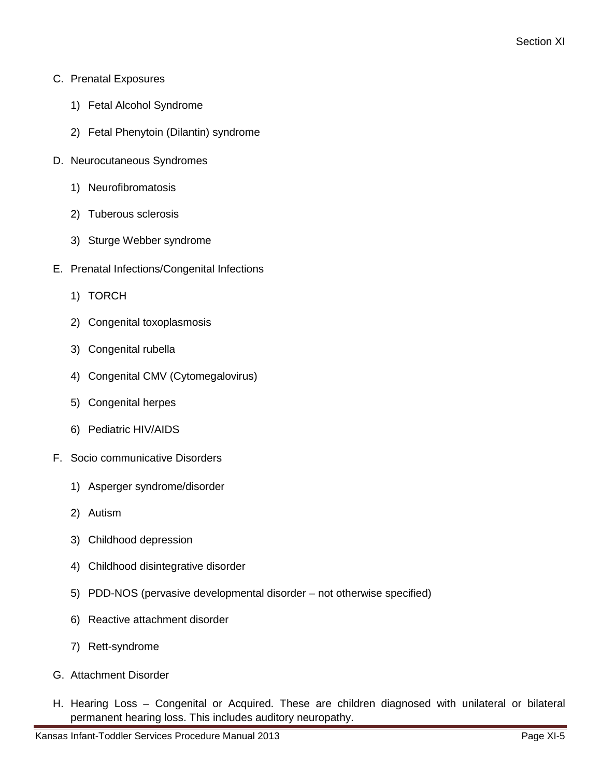- C. Prenatal Exposures
	- 1) Fetal Alcohol Syndrome
	- 2) Fetal Phenytoin (Dilantin) syndrome
- D. Neurocutaneous Syndromes
	- 1) Neurofibromatosis
	- 2) Tuberous sclerosis
	- 3) Sturge Webber syndrome
- E. Prenatal Infections/Congenital Infections
	- 1) TORCH
	- 2) Congenital toxoplasmosis
	- 3) Congenital rubella
	- 4) Congenital CMV (Cytomegalovirus)
	- 5) Congenital herpes
	- 6) Pediatric HIV/AIDS
- F. Socio communicative Disorders
	- 1) Asperger syndrome/disorder
	- 2) Autism
	- 3) Childhood depression
	- 4) Childhood disintegrative disorder
	- 5) PDD-NOS (pervasive developmental disorder not otherwise specified)
	- 6) Reactive attachment disorder
	- 7) Rett-syndrome
- G. Attachment Disorder
- H. Hearing Loss Congenital or Acquired. These are children diagnosed with unilateral or bilateral permanent hearing loss. This includes auditory neuropathy.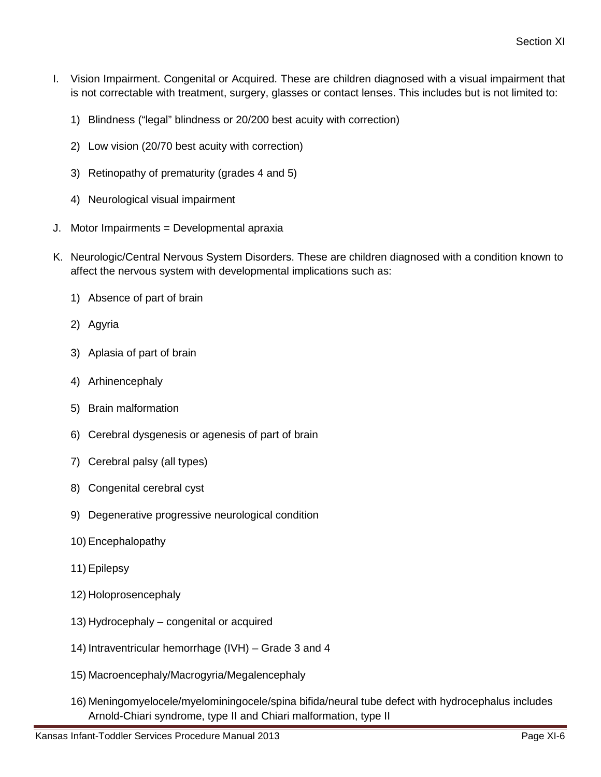- I. Vision Impairment. Congenital or Acquired. These are children diagnosed with a visual impairment that is not correctable with treatment, surgery, glasses or contact lenses. This includes but is not limited to:
	- 1) Blindness ("legal" blindness or 20/200 best acuity with correction)
	- 2) Low vision (20/70 best acuity with correction)
	- 3) Retinopathy of prematurity (grades 4 and 5)
	- 4) Neurological visual impairment
- J. Motor Impairments = Developmental apraxia
- K. Neurologic/Central Nervous System Disorders. These are children diagnosed with a condition known to affect the nervous system with developmental implications such as:
	- 1) Absence of part of brain
	- 2) Agyria
	- 3) Aplasia of part of brain
	- 4) Arhinencephaly
	- 5) Brain malformation
	- 6) Cerebral dysgenesis or agenesis of part of brain
	- 7) Cerebral palsy (all types)
	- 8) Congenital cerebral cyst
	- 9) Degenerative progressive neurological condition
	- 10) Encephalopathy
	- 11) Epilepsy
	- 12) Holoprosencephaly
	- 13) Hydrocephaly congenital or acquired
	- 14) Intraventricular hemorrhage (IVH) Grade 3 and 4
	- 15) Macroencephaly/Macrogyria/Megalencephaly
	- 16) Meningomyelocele/myelominingocele/spina bifida/neural tube defect with hydrocephalus includes Arnold-Chiari syndrome, type II and Chiari malformation, type II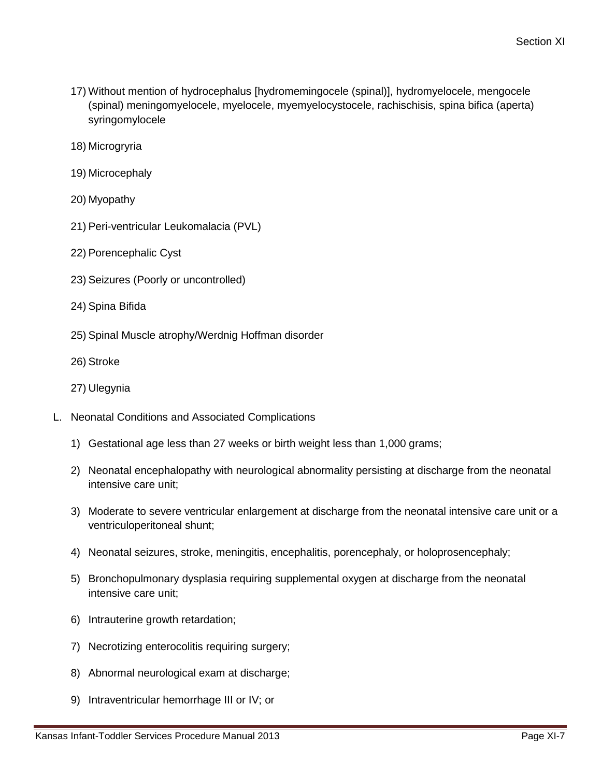- 17) Without mention of hydrocephalus [hydromemingocele (spinal)], hydromyelocele, mengocele (spinal) meningomyelocele, myelocele, myemyelocystocele, rachischisis, spina bifica (aperta) syringomylocele
- 18) Microgryria
- 19) Microcephaly
- 20) Myopathy
- 21) Peri-ventricular Leukomalacia (PVL)
- 22) Porencephalic Cyst
- 23) Seizures (Poorly or uncontrolled)
- 24) Spina Bifida
- 25) Spinal Muscle atrophy/Werdnig Hoffman disorder
- 26) Stroke
- 27) Ulegynia
- L. Neonatal Conditions and Associated Complications
	- 1) Gestational age less than 27 weeks or birth weight less than 1,000 grams;
	- 2) Neonatal encephalopathy with neurological abnormality persisting at discharge from the neonatal intensive care unit;
	- 3) Moderate to severe ventricular enlargement at discharge from the neonatal intensive care unit or a ventriculoperitoneal shunt;
	- 4) Neonatal seizures, stroke, meningitis, encephalitis, porencephaly, or holoprosencephaly;
	- 5) Bronchopulmonary dysplasia requiring supplemental oxygen at discharge from the neonatal intensive care unit;
	- 6) Intrauterine growth retardation;
	- 7) Necrotizing enterocolitis requiring surgery;
	- 8) Abnormal neurological exam at discharge;
	- 9) Intraventricular hemorrhage III or IV; or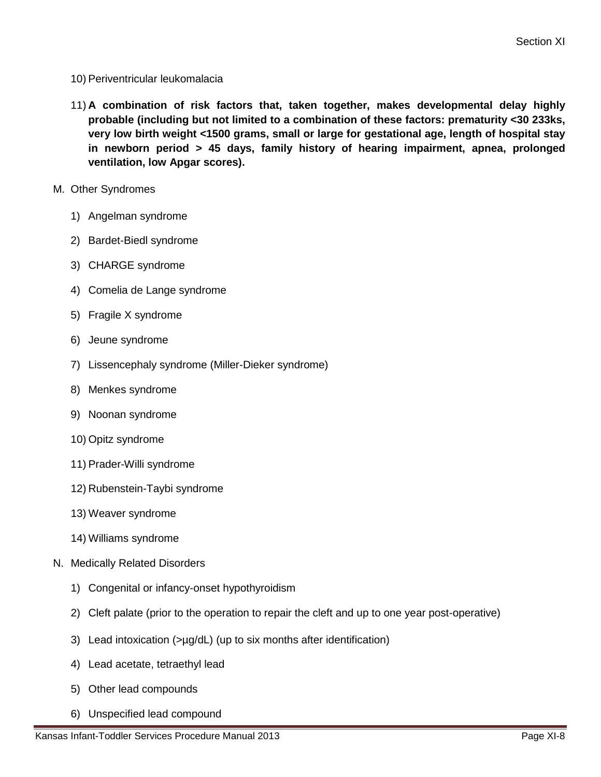- 10) Periventricular leukomalacia
- 11) **A combination of risk factors that, taken together, makes developmental delay highly probable (including but not limited to a combination of these factors: prematurity <30 233ks, very low birth weight <1500 grams, small or large for gestational age, length of hospital stay in newborn period > 45 days, family history of hearing impairment, apnea, prolonged ventilation, low Apgar scores).**
- M. Other Syndromes
	- 1) Angelman syndrome
	- 2) Bardet-Biedl syndrome
	- 3) CHARGE syndrome
	- 4) Comelia de Lange syndrome
	- 5) Fragile X syndrome
	- 6) Jeune syndrome
	- 7) Lissencephaly syndrome (Miller-Dieker syndrome)
	- 8) Menkes syndrome
	- 9) Noonan syndrome
	- 10) Opitz syndrome
	- 11) Prader-Willi syndrome
	- 12) Rubenstein-Taybi syndrome
	- 13) Weaver syndrome
	- 14) Williams syndrome
- N. Medically Related Disorders
	- 1) Congenital or infancy-onset hypothyroidism
	- 2) Cleft palate (prior to the operation to repair the cleft and up to one year post-operative)
	- 3) Lead intoxication (>µg/dL) (up to six months after identification)
	- 4) Lead acetate, tetraethyl lead
	- 5) Other lead compounds
	- 6) Unspecified lead compound